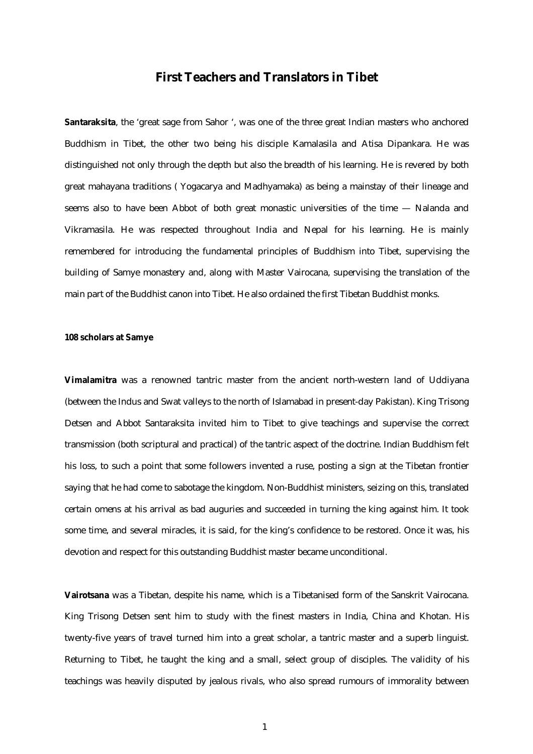## **First Teachers and Translators in Tibet**

**Santaraksita**, the 'great sage from Sahor ', was one of the three great Indian masters who anchored Buddhism in Tibet, the other two being his disciple Kamalasila and Atisa Dipankara. He was distinguished not only through the depth but also the breadth of his learning. He is revered by both great mahayana traditions ( Yogacarya and Madhyamaka) as being a mainstay of their lineage and seems also to have been Abbot of both great monastic universities of the time — Nalanda and Vikramasila. He was respected throughout India and Nepal for his learning. He is mainly remembered for introducing the fundamental principles of Buddhism into Tibet, supervising the building of Samye monastery and, along with Master Vairocana, supervising the translation of the main part of the Buddhist canon into Tibet. He also ordained the first Tibetan Buddhist monks.

## **108 scholars at Samye**

**Vimalamitra** was a renowned tantric master from the ancient north-western land of Uddiyana (between the Indus and Swat valleys to the north of Islamabad in present-day Pakistan). King Trisong Detsen and Abbot Santaraksita invited him to Tibet to give teachings and supervise the correct transmission (both scriptural and practical) of the tantric aspect of the doctrine. Indian Buddhism felt his loss, to such a point that some followers invented a ruse, posting a sign at the Tibetan frontier saying that he had come to sabotage the kingdom. Non-Buddhist ministers, seizing on this, translated certain omens at his arrival as bad auguries and succeeded in turning the king against him. It took some time, and several miracles, it is said, for the king's confidence to be restored. Once it was, his devotion and respect for this outstanding Buddhist master became unconditional.

**Vairotsana** was a Tibetan, despite his name, which is a Tibetanised form of the Sanskrit Vairocana. King Trisong Detsen sent him to study with the finest masters in India, China and Khotan. His twenty-five years of travel turned him into a great scholar, a tantric master and a superb linguist. Returning to Tibet, he taught the king and a small, select group of disciples. The validity of his teachings was heavily disputed by jealous rivals, who also spread rumours of immorality between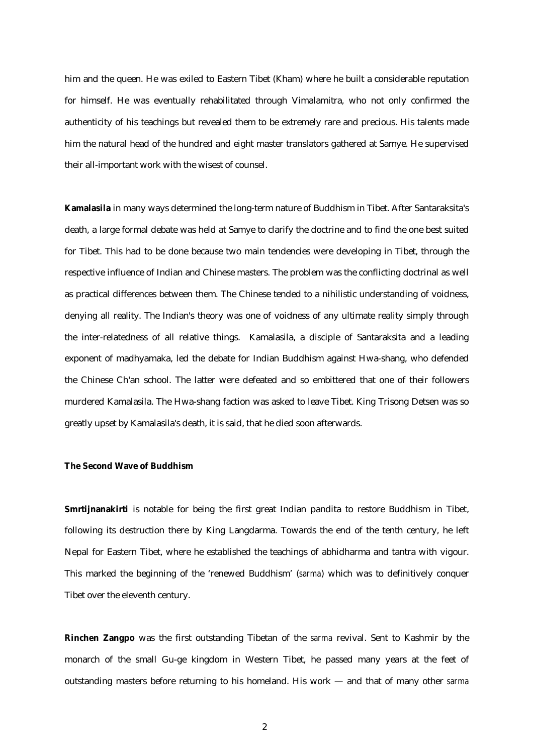him and the queen. He was exiled to Eastern Tibet (Kham) where he built a considerable reputation for himself. He was eventually rehabilitated through Vimalamitra, who not only confirmed the authenticity of his teachings but revealed them to be extremely rare and precious. His talents made him the natural head of the hundred and eight master translators gathered at Samye. He supervised their all-important work with the wisest of counsel.

**Kamalasila** in many ways determined the long-term nature of Buddhism in Tibet. After Santaraksita's death, a large formal debate was held at Samye to clarify the doctrine and to find the one best suited for Tibet. This had to be done because two main tendencies were developing in Tibet, through the respective influence of Indian and Chinese masters. The problem was the conflicting doctrinal as well as practical differences between them. The Chinese tended to a nihilistic understanding of voidness, denying all reality. The Indian's theory was one of voidness of any ultimate reality simply through the inter-relatedness of all relative things. Kamalasila, a disciple of Santaraksita and a leading exponent of madhyamaka, led the debate for Indian Buddhism against Hwa-shang, who defended the Chinese Ch'an school. The latter were defeated and so embittered that one of their followers murdered Kamalasila. The Hwa-shang faction was asked to leave Tibet. King Trisong Detsen was so greatly upset by Kamalasila's death, it is said, that he died soon afterwards.

## **The Second Wave of Buddhism**

**Smrtijnanakirti** is notable for being the first great Indian pandita to restore Buddhism in Tibet, following its destruction there by King Langdarma. Towards the end of the tenth century, he left Nepal for Eastern Tibet, where he established the teachings of abhidharma and tantra with vigour. This marked the beginning of the 'renewed Buddhism' (*sarma*) which was to definitively conquer Tibet over the eleventh century.

**Rinchen Zangpo** was the first outstanding Tibetan of the *sarma* revival. Sent to Kashmir by the monarch of the small Gu-ge kingdom in Western Tibet, he passed many years at the feet of outstanding masters before returning to his homeland. His work — and that of many other *sarma*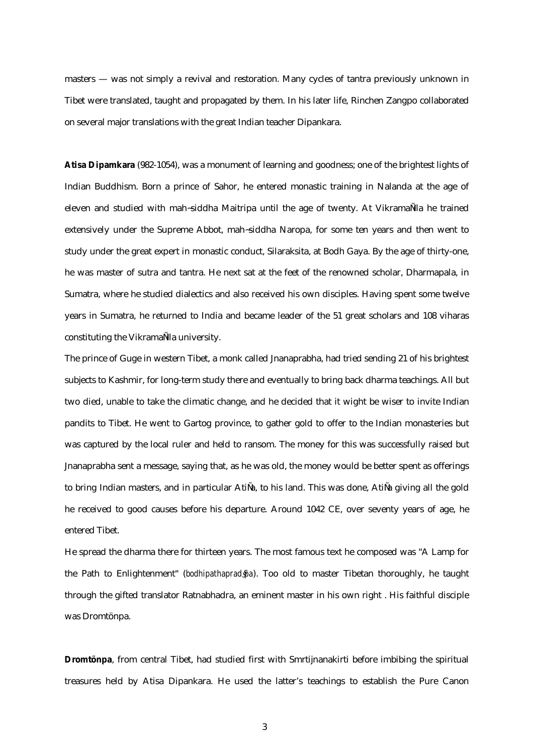masters — was not simply a revival and restoration. Many cycles of tantra previously unknown in Tibet were translated, taught and propagated by them. In his later life, Rinchen Zangpo collaborated on several major translations with the great Indian teacher Dipankara.

**Atisa Dipamkara** (982-1054), was a monument of learning and goodness; one of the brightest lights of Indian Buddhism. Born a prince of Sahor, he entered monastic training in Nalanda at the age of eleven and studied with mah~siddha Maitripa until the age of twenty. At VikramaÑila he trained extensively under the Supreme Abbot, mah~siddha Naropa, for some ten years and then went to study under the great expert in monastic conduct, Silaraksita, at Bodh Gaya. By the age of thirty-one, he was master of sutra and tantra. He next sat at the feet of the renowned scholar, Dharmapala, in Sumatra, where he studied dialectics and also received his own disciples. Having spent some twelve years in Sumatra, he returned to India and became leader of the 51 great scholars and 108 viharas constituting the VikramaÑla university.

The prince of Guge in western Tibet, a monk called Jnanaprabha, had tried sending 21 of his brightest subjects to Kashmir, for long-term study there and eventually to bring back dharma teachings. All but two died, unable to take the climatic change, and he decided that it wight be wiser to invite Indian pandits to Tibet. He went to Gartog province, to gather gold to offer to the Indian monasteries but was captured by the local ruler and held to ransom. The money for this was successfully raised but Jnanaprabha sent a message, saying that, as he was old, the money would be better spent as offerings to bring Indian masters, and in particular AtiÑa, to his land. This was done, AtiÑa giving all the gold he received to good causes before his departure. Around 1042 CE, over seventy years of age, he entered Tibet.

He spread the dharma there for thirteen years. The most famous text he composed was "A Lamp for the Path to Enlightenment" (*bodhipathaprad*§*pa*). Too old to master Tibetan thoroughly, he taught through the gifted translator Ratnabhadra, an eminent master in his own right . His faithful disciple was Dromtönpa.

**Dromtönpa**, from central Tibet, had studied first with Smrtijnanakirti before imbibing the spiritual treasures held by Atisa Dipankara. He used the latter's teachings to establish the Pure Canon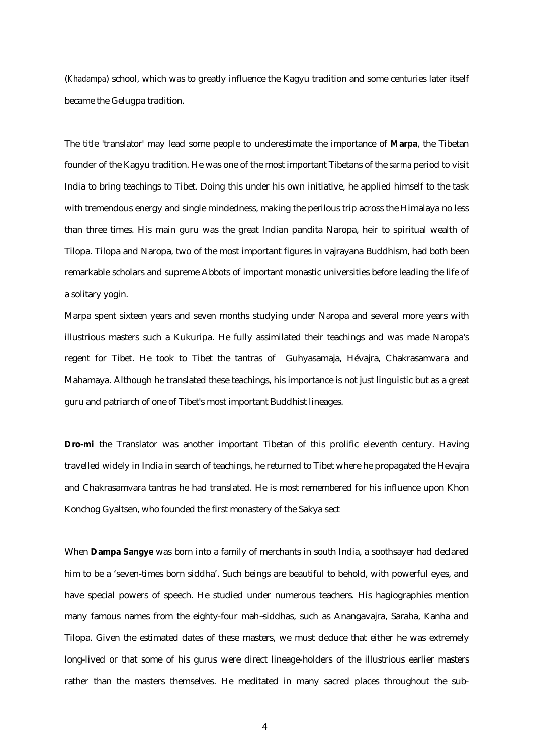(*Khadampa*) school, which was to greatly influence the Kagyu tradition and some centuries later itself became the Gelugpa tradition.

The title 'translator' may lead some people to underestimate the importance of **Marpa**, the Tibetan founder of the Kagyu tradition. He was one of the most important Tibetans of the *sarma* period to visit India to bring teachings to Tibet. Doing this under his own initiative, he applied himself to the task with tremendous energy and single mindedness, making the perilous trip across the Himalaya no less than three times. His main guru was the great Indian pandita Naropa, heir to spiritual wealth of Tilopa. Tilopa and Naropa, two of the most important figures in vajrayana Buddhism, had both been remarkable scholars and supreme Abbots of important monastic universities before leading the life of a solitary yogin.

Marpa spent sixteen years and seven months studying under Naropa and several more years with illustrious masters such a Kukuripa. He fully assimilated their teachings and was made Naropa's regent for Tibet. He took to Tibet the tantras of Guhyasamaja, Hévajra, Chakrasamvara and Mahamaya. Although he translated these teachings, his importance is not just linguistic but as a great guru and patriarch of one of Tibet's most important Buddhist lineages.

**Dro-mi** the Translator was another important Tibetan of this prolific eleventh century. Having travelled widely in India in search of teachings, he returned to Tibet where he propagated the Hevajra and Chakrasamvara tantras he had translated. He is most remembered for his influence upon Khon Konchog Gyaltsen, who founded the first monastery of the Sakya sect

When **Dampa Sangye** was born into a family of merchants in south India, a soothsayer had declared him to be a 'seven-times born siddha'. Such beings are beautiful to behold, with powerful eyes, and have special powers of speech. He studied under numerous teachers. His hagiographies mention many famous names from the eighty-four mah~siddhas, such as Anangavajra, Saraha, Kanha and Tilopa. Given the estimated dates of these masters, we must deduce that either he was extremely long-lived or that some of his gurus were direct lineage-holders of the illustrious earlier masters rather than the masters themselves. He meditated in many sacred places throughout the sub